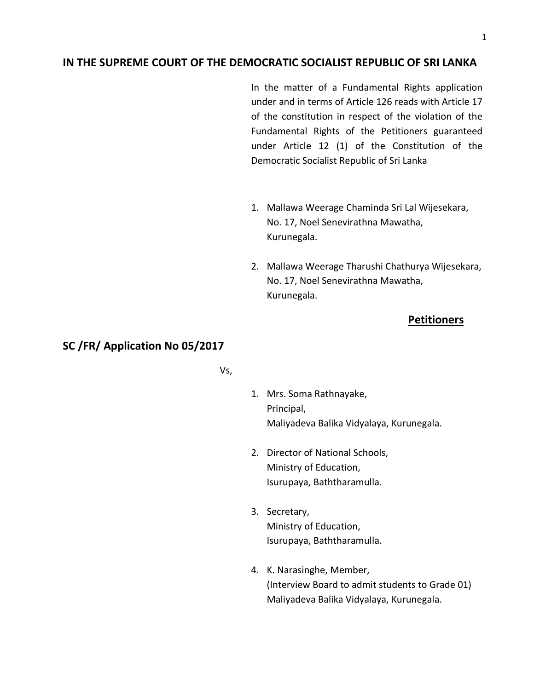## **IN THE SUPREME COURT OF THE DEMOCRATIC SOCIALIST REPUBLIC OF SRI LANKA**

In the matter of a Fundamental Rights application under and in terms of Article 126 reads with Article 17 of the constitution in respect of the violation of the Fundamental Rights of the Petitioners guaranteed under Article 12 (1) of the Constitution of the Democratic Socialist Republic of Sri Lanka

- 1. Mallawa Weerage Chaminda Sri Lal Wijesekara, No. 17, Noel Senevirathna Mawatha, Kurunegala.
- 2. Mallawa Weerage Tharushi Chathurya Wijesekara, No. 17, Noel Senevirathna Mawatha, Kurunegala.

### **Petitioners**

# **SC /FR/ Application No 05/2017**

- Vs,
- 1. Mrs. Soma Rathnayake, Principal, Maliyadeva Balika Vidyalaya, Kurunegala.
- 2. Director of National Schools, Ministry of Education, Isurupaya, Baththaramulla.
- 3. Secretary, Ministry of Education, Isurupaya, Baththaramulla.
- 4. K. Narasinghe, Member, (Interview Board to admit students to Grade 01) Maliyadeva Balika Vidyalaya, Kurunegala.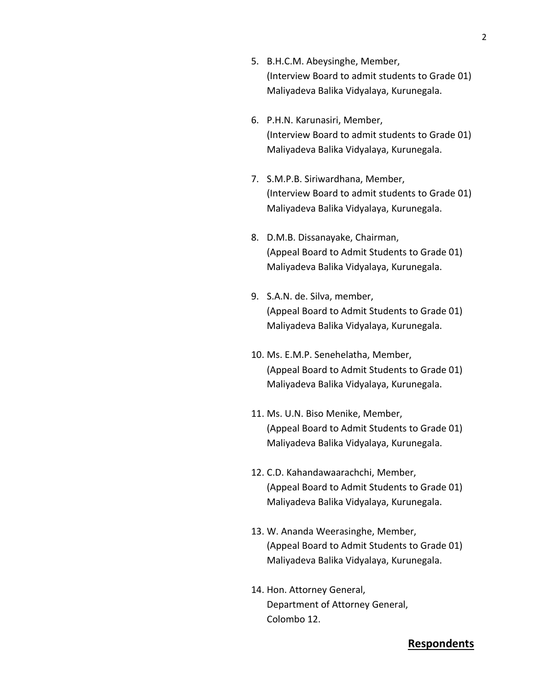- 5. B.H.C.M. Abeysinghe, Member, (Interview Board to admit students to Grade 01) Maliyadeva Balika Vidyalaya, Kurunegala.
- 6. P.H.N. Karunasiri, Member, (Interview Board to admit students to Grade 01) Maliyadeva Balika Vidyalaya, Kurunegala.
- 7. S.M.P.B. Siriwardhana, Member, (Interview Board to admit students to Grade 01) Maliyadeva Balika Vidyalaya, Kurunegala.
- 8. D.M.B. Dissanayake, Chairman, (Appeal Board to Admit Students to Grade 01) Maliyadeva Balika Vidyalaya, Kurunegala.
- 9. S.A.N. de. Silva, member, (Appeal Board to Admit Students to Grade 01) Maliyadeva Balika Vidyalaya, Kurunegala.
- 10. Ms. E.M.P. Senehelatha, Member, (Appeal Board to Admit Students to Grade 01) Maliyadeva Balika Vidyalaya, Kurunegala.
- 11. Ms. U.N. Biso Menike, Member, (Appeal Board to Admit Students to Grade 01) Maliyadeva Balika Vidyalaya, Kurunegala.
- 12. C.D. Kahandawaarachchi, Member, (Appeal Board to Admit Students to Grade 01) Maliyadeva Balika Vidyalaya, Kurunegala.
- 13. W. Ananda Weerasinghe, Member, (Appeal Board to Admit Students to Grade 01) Maliyadeva Balika Vidyalaya, Kurunegala.
- 14. Hon. Attorney General, Department of Attorney General, Colombo 12.

## **Respondents**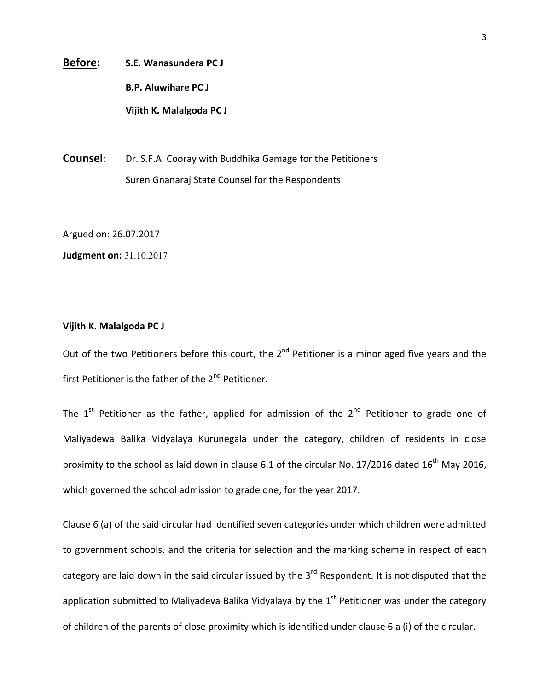**Before: S.E. Wanasundera PC J B.P. Aluwihare PC J Vijith K. Malalgoda PC J**

**Counsel:** Dr. S.F.A. Cooray with Buddhika Gamage for the Petitioners Suren Gnanaraj State Counsel for the Respondents

Argued on: 26.07.2017

**Judgment on:** 31.10.2017

#### **Vijith K. Malalgoda PC J**

Out of the two Petitioners before this court, the  $2^{nd}$  Petitioner is a minor aged five years and the first Petitioner is the father of the  $2<sup>nd</sup>$  Petitioner.

The  $1<sup>st</sup>$  Petitioner as the father, applied for admission of the  $2<sup>nd</sup>$  Petitioner to grade one of Maliyadewa Balika Vidyalaya Kurunegala under the category, children of residents in close proximity to the school as laid down in clause 6.1 of the circular No. 17/2016 dated  $16<sup>th</sup>$  Mav 2016. which governed the school admission to grade one, for the year 2017.

Clause 6 (a) of the said circular had identified seven categories under which children were admitted to government schools, and the criteria for selection and the marking scheme in respect of each category are laid down in the said circular issued by the 3<sup>rd</sup> Respondent. It is not disputed that the application submitted to Maliyadeva Balika Vidyalaya by the  $1<sup>st</sup>$  Petitioner was under the category of children of the parents of close proximity which is identified under clause 6 a (i) of the circular.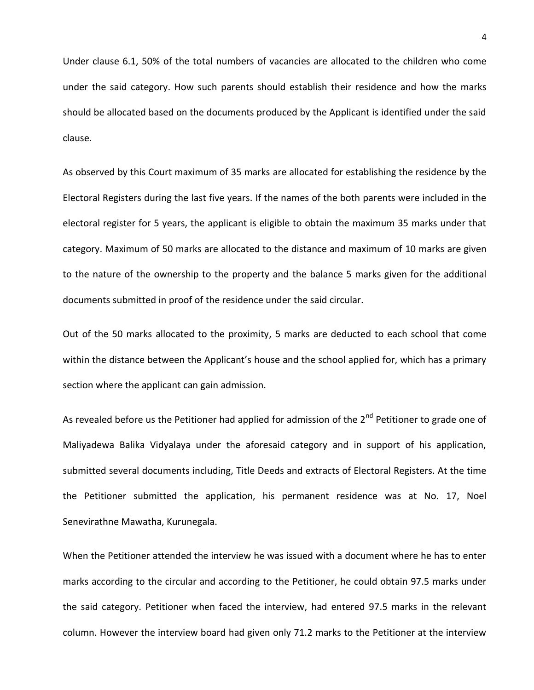Under clause 6.1, 50% of the total numbers of vacancies are allocated to the children who come under the said category. How such parents should establish their residence and how the marks should be allocated based on the documents produced by the Applicant is identified under the said clause.

As observed by this Court maximum of 35 marks are allocated for establishing the residence by the Electoral Registers during the last five years. If the names of the both parents were included in the electoral register for 5 years, the applicant is eligible to obtain the maximum 35 marks under that category. Maximum of 50 marks are allocated to the distance and maximum of 10 marks are given to the nature of the ownership to the property and the balance 5 marks given for the additional documents submitted in proof of the residence under the said circular.

Out of the 50 marks allocated to the proximity, 5 marks are deducted to each school that come within the distance between the Applicant's house and the school applied for, which has a primary section where the applicant can gain admission.

As revealed before us the Petitioner had applied for admission of the  $2^{nd}$  Petitioner to grade one of Maliyadewa Balika Vidyalaya under the aforesaid category and in support of his application, submitted several documents including, Title Deeds and extracts of Electoral Registers. At the time the Petitioner submitted the application, his permanent residence was at No. 17, Noel Senevirathne Mawatha, Kurunegala.

When the Petitioner attended the interview he was issued with a document where he has to enter marks according to the circular and according to the Petitioner, he could obtain 97.5 marks under the said category. Petitioner when faced the interview, had entered 97.5 marks in the relevant column. However the interview board had given only 71.2 marks to the Petitioner at the interview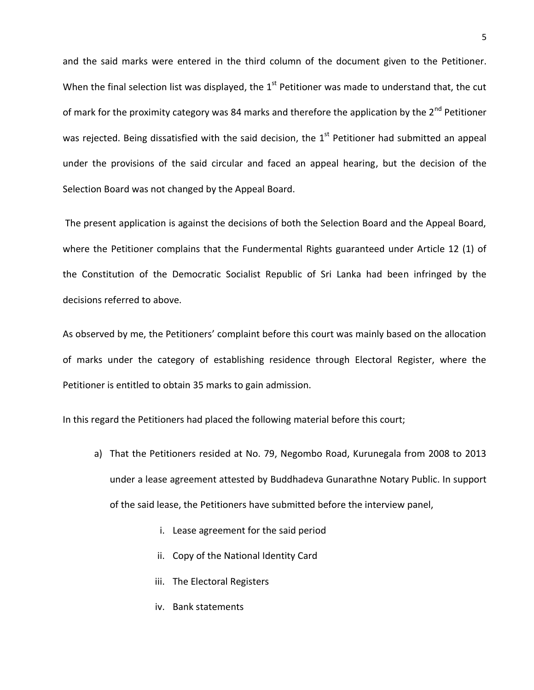and the said marks were entered in the third column of the document given to the Petitioner. When the final selection list was displayed, the  $1<sup>st</sup>$  Petitioner was made to understand that, the cut of mark for the proximity category was 84 marks and therefore the application by the 2<sup>nd</sup> Petitioner was rejected. Being dissatisfied with the said decision, the  $1<sup>st</sup>$  Petitioner had submitted an appeal under the provisions of the said circular and faced an appeal hearing, but the decision of the Selection Board was not changed by the Appeal Board.

The present application is against the decisions of both the Selection Board and the Appeal Board, where the Petitioner complains that the Fundermental Rights guaranteed under Article 12 (1) of the Constitution of the Democratic Socialist Republic of Sri Lanka had been infringed by the decisions referred to above.

As observed by me, the Petitioners' complaint before this court was mainly based on the allocation of marks under the category of establishing residence through Electoral Register, where the Petitioner is entitled to obtain 35 marks to gain admission.

In this regard the Petitioners had placed the following material before this court;

- a) That the Petitioners resided at No. 79, Negombo Road, Kurunegala from 2008 to 2013 under a lease agreement attested by Buddhadeva Gunarathne Notary Public. In support of the said lease, the Petitioners have submitted before the interview panel,
	- i. Lease agreement for the said period
	- ii. Copy of the National Identity Card
	- iii. The Electoral Registers
	- iv. Bank statements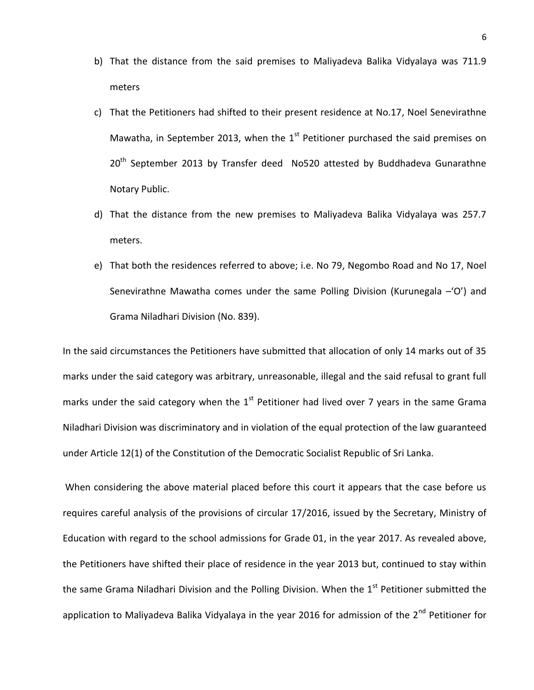- b) That the distance from the said premises to Maliyadeva Balika Vidyalaya was 711.9 meters
- c) That the Petitioners had shifted to their present residence at No.17, Noel Senevirathne Mawatha, in September 2013, when the  $1<sup>st</sup>$  Petitioner purchased the said premises on  $20<sup>th</sup>$  September 2013 by Transfer deed No520 attested by Buddhadeva Gunarathne Notary Public.
- d) That the distance from the new premises to Maliyadeva Balika Vidyalaya was 257.7 meters.
- e) That both the residences referred to above; i.e. No 79, Negombo Road and No 17, Noel Senevirathne Mawatha comes under the same Polling Division (Kurunegala –'O') and Grama Niladhari Division (No. 839).

In the said circumstances the Petitioners have submitted that allocation of only 14 marks out of 35 marks under the said category was arbitrary, unreasonable, illegal and the said refusal to grant full marks under the said category when the  $1^{st}$  Petitioner had lived over 7 years in the same Grama Niladhari Division was discriminatory and in violation of the equal protection of the law guaranteed under Article 12(1) of the Constitution of the Democratic Socialist Republic of Sri Lanka.

When considering the above material placed before this court it appears that the case before us requires careful analysis of the provisions of circular 17/2016, issued by the Secretary, Ministry of Education with regard to the school admissions for Grade 01, in the year 2017. As revealed above, the Petitioners have shifted their place of residence in the year 2013 but, continued to stay within the same Grama Niladhari Division and the Polling Division. When the  $1<sup>st</sup>$  Petitioner submitted the application to Maliyadeva Balika Vidyalaya in the year 2016 for admission of the 2<sup>nd</sup> Petitioner for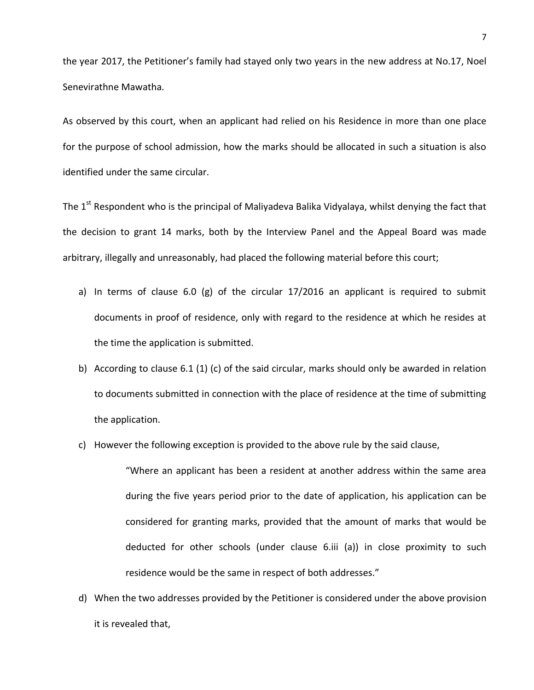the year 2017, the Petitioner's family had stayed only two years in the new address at No.17, Noel Senevirathne Mawatha.

As observed by this court, when an applicant had relied on his Residence in more than one place for the purpose of school admission, how the marks should be allocated in such a situation is also identified under the same circular.

The  $1<sup>st</sup>$  Respondent who is the principal of Maliyadeva Balika Vidyalaya, whilst denying the fact that the decision to grant 14 marks, both by the Interview Panel and the Appeal Board was made arbitrary, illegally and unreasonably, had placed the following material before this court;

- a) In terms of clause 6.0 (g) of the circular 17/2016 an applicant is required to submit documents in proof of residence, only with regard to the residence at which he resides at the time the application is submitted.
- b) According to clause 6.1 (1) (c) of the said circular, marks should only be awarded in relation to documents submitted in connection with the place of residence at the time of submitting the application.
- c) However the following exception is provided to the above rule by the said clause,

"Where an applicant has been a resident at another address within the same area during the five years period prior to the date of application, his application can be considered for granting marks, provided that the amount of marks that would be deducted for other schools (under clause 6.iii (a)) in close proximity to such residence would be the same in respect of both addresses."

d) When the two addresses provided by the Petitioner is considered under the above provision it is revealed that,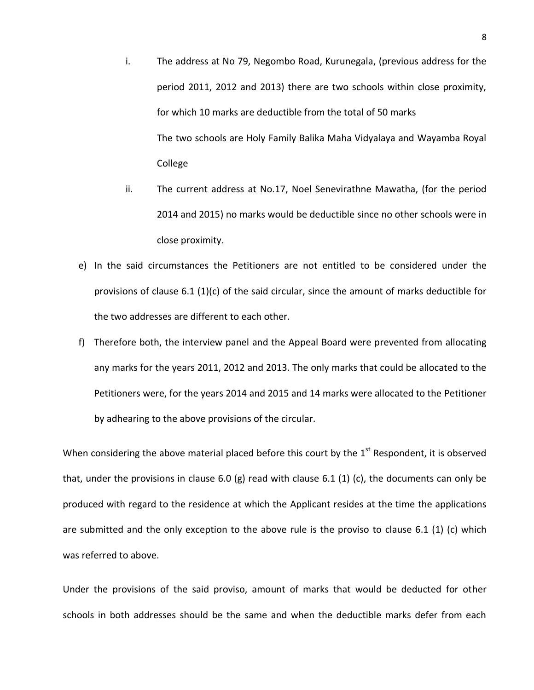- i. The address at No 79, Negombo Road, Kurunegala, (previous address for the period 2011, 2012 and 2013) there are two schools within close proximity, for which 10 marks are deductible from the total of 50 marks The two schools are Holy Family Balika Maha Vidyalaya and Wayamba Royal College
- ii. The current address at No.17, Noel Senevirathne Mawatha, (for the period 2014 and 2015) no marks would be deductible since no other schools were in close proximity.
- e) In the said circumstances the Petitioners are not entitled to be considered under the provisions of clause 6.1 (1)(c) of the said circular, since the amount of marks deductible for the two addresses are different to each other.
- f) Therefore both, the interview panel and the Appeal Board were prevented from allocating any marks for the years 2011, 2012 and 2013. The only marks that could be allocated to the Petitioners were, for the years 2014 and 2015 and 14 marks were allocated to the Petitioner by adhearing to the above provisions of the circular.

When considering the above material placed before this court by the 1<sup>st</sup> Respondent, it is observed that, under the provisions in clause 6.0 (g) read with clause 6.1 (1) (c), the documents can only be produced with regard to the residence at which the Applicant resides at the time the applications are submitted and the only exception to the above rule is the proviso to clause 6.1 (1) (c) which was referred to above.

Under the provisions of the said proviso, amount of marks that would be deducted for other schools in both addresses should be the same and when the deductible marks defer from each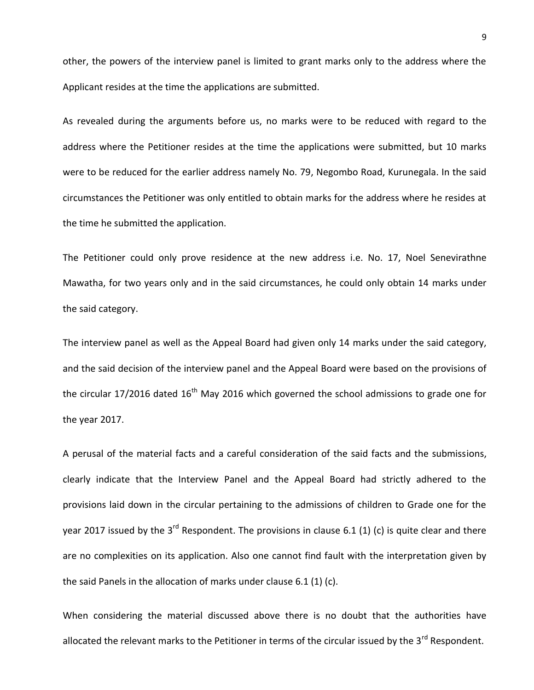other, the powers of the interview panel is limited to grant marks only to the address where the Applicant resides at the time the applications are submitted.

As revealed during the arguments before us, no marks were to be reduced with regard to the address where the Petitioner resides at the time the applications were submitted, but 10 marks were to be reduced for the earlier address namely No. 79, Negombo Road, Kurunegala. In the said circumstances the Petitioner was only entitled to obtain marks for the address where he resides at the time he submitted the application.

The Petitioner could only prove residence at the new address i.e. No. 17, Noel Senevirathne Mawatha, for two years only and in the said circumstances, he could only obtain 14 marks under the said category.

The interview panel as well as the Appeal Board had given only 14 marks under the said category, and the said decision of the interview panel and the Appeal Board were based on the provisions of the circular 17/2016 dated  $16<sup>th</sup>$  May 2016 which governed the school admissions to grade one for the year 2017.

A perusal of the material facts and a careful consideration of the said facts and the submissions, clearly indicate that the Interview Panel and the Appeal Board had strictly adhered to the provisions laid down in the circular pertaining to the admissions of children to Grade one for the year 2017 issued by the 3<sup>rd</sup> Respondent. The provisions in clause 6.1 (1) (c) is quite clear and there are no complexities on its application. Also one cannot find fault with the interpretation given by the said Panels in the allocation of marks under clause 6.1 (1) (c).

When considering the material discussed above there is no doubt that the authorities have allocated the relevant marks to the Petitioner in terms of the circular issued by the 3<sup>rd</sup> Respondent.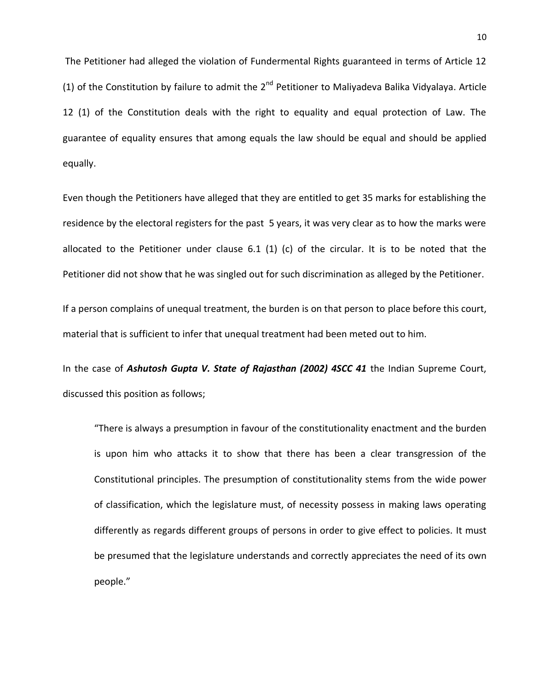The Petitioner had alleged the violation of Fundermental Rights guaranteed in terms of Article 12 (1) of the Constitution by failure to admit the  $2^{nd}$  Petitioner to Maliyadeva Balika Vidyalaya. Article 12 (1) of the Constitution deals with the right to equality and equal protection of Law. The guarantee of equality ensures that among equals the law should be equal and should be applied equally.

Even though the Petitioners have alleged that they are entitled to get 35 marks for establishing the residence by the electoral registers for the past 5 years, it was very clear as to how the marks were allocated to the Petitioner under clause 6.1 (1) (c) of the circular. It is to be noted that the Petitioner did not show that he was singled out for such discrimination as alleged by the Petitioner.

If a person complains of unequal treatment, the burden is on that person to place before this court, material that is sufficient to infer that unequal treatment had been meted out to him.

In the case of *Ashutosh Gupta V. State of Rajasthan (2002) 4SCC 41* the Indian Supreme Court, discussed this position as follows;

"There is always a presumption in favour of the constitutionality enactment and the burden is upon him who attacks it to show that there has been a clear transgression of the Constitutional principles. The presumption of constitutionality stems from the wide power of classification, which the legislature must, of necessity possess in making laws operating differently as regards different groups of persons in order to give effect to policies. It must be presumed that the legislature understands and correctly appreciates the need of its own people."